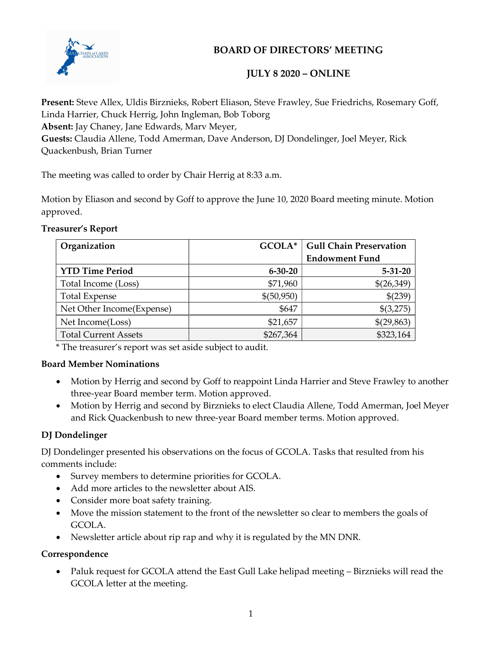

# BOARD OF DIRECTORS' MEETING

## JULY 8 2020 – ONLINE

Present: Steve Allex, Uldis Birznieks, Robert Eliason, Steve Frawley, Sue Friedrichs, Rosemary Goff, Linda Harrier, Chuck Herrig, John Ingleman, Bob Toborg Absent: Jay Chaney, Jane Edwards, Marv Meyer, Guests: Claudia Allene, Todd Amerman, Dave Anderson, DJ Dondelinger, Joel Meyer, Rick Quackenbush, Brian Turner

The meeting was called to order by Chair Herrig at 8:33 a.m.

Motion by Eliason and second by Goff to approve the June 10, 2020 Board meeting minute. Motion approved.

#### Treasurer's Report

| Organization                | GCOLA*        | <b>Gull Chain Preservation</b> |
|-----------------------------|---------------|--------------------------------|
|                             |               | <b>Endowment Fund</b>          |
| <b>YTD Time Period</b>      | $6 - 30 - 20$ | $5 - 31 - 20$                  |
| Total Income (Loss)         | \$71,960      | \$(26,349)                     |
| <b>Total Expense</b>        | \$(50,950)    | \$(239)                        |
| Net Other Income (Expense)  | \$647         | \$(3,275)                      |
| Net Income(Loss)            | \$21,657      | \$(29,863)                     |
| <b>Total Current Assets</b> | \$267,364     | \$323,164                      |

\* The treasurer's report was set aside subject to audit.

### Board Member Nominations

- Motion by Herrig and second by Goff to reappoint Linda Harrier and Steve Frawley to another three-year Board member term. Motion approved.
- Motion by Herrig and second by Birznieks to elect Claudia Allene, Todd Amerman, Joel Meyer and Rick Quackenbush to new three-year Board member terms. Motion approved.

## DJ Dondelinger

DJ Dondelinger presented his observations on the focus of GCOLA. Tasks that resulted from his comments include:

- Survey members to determine priorities for GCOLA.
- Add more articles to the newsletter about AIS.
- Consider more boat safety training.
- Move the mission statement to the front of the newsletter so clear to members the goals of GCOLA.
- Newsletter article about rip rap and why it is regulated by the MN DNR.

### Correspondence

• Paluk request for GCOLA attend the East Gull Lake helipad meeting – Birznieks will read the GCOLA letter at the meeting.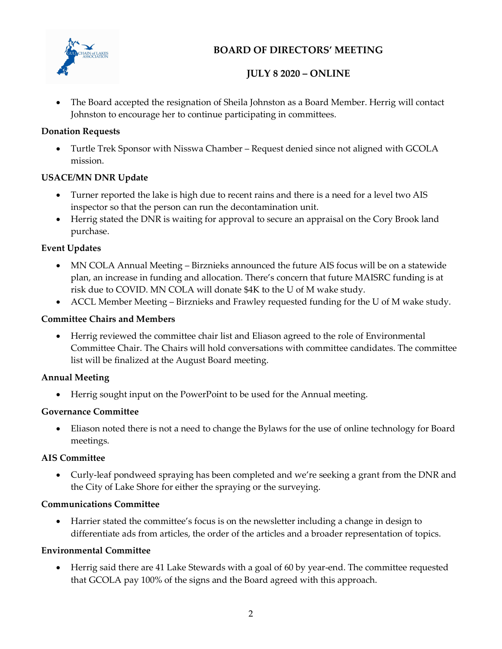

# BOARD OF DIRECTORS' MEETING

# JULY 8 2020 – ONLINE

 The Board accepted the resignation of Sheila Johnston as a Board Member. Herrig will contact Johnston to encourage her to continue participating in committees.

## Donation Requests

 Turtle Trek Sponsor with Nisswa Chamber – Request denied since not aligned with GCOLA mission.

## USACE/MN DNR Update

- Turner reported the lake is high due to recent rains and there is a need for a level two AIS inspector so that the person can run the decontamination unit.
- Herrig stated the DNR is waiting for approval to secure an appraisal on the Cory Brook land purchase.

## Event Updates

- MN COLA Annual Meeting Birznieks announced the future AIS focus will be on a statewide plan, an increase in funding and allocation. There's concern that future MAISRC funding is at risk due to COVID. MN COLA will donate \$4K to the U of M wake study.
- ACCL Member Meeting Birznieks and Frawley requested funding for the U of M wake study.

## Committee Chairs and Members

 Herrig reviewed the committee chair list and Eliason agreed to the role of Environmental Committee Chair. The Chairs will hold conversations with committee candidates. The committee list will be finalized at the August Board meeting.

### Annual Meeting

Herrig sought input on the PowerPoint to be used for the Annual meeting.

### Governance Committee

 Eliason noted there is not a need to change the Bylaws for the use of online technology for Board meetings.

### AIS Committee

 Curly-leaf pondweed spraying has been completed and we're seeking a grant from the DNR and the City of Lake Shore for either the spraying or the surveying.

### Communications Committee

 Harrier stated the committee's focus is on the newsletter including a change in design to differentiate ads from articles, the order of the articles and a broader representation of topics.

### Environmental Committee

 Herrig said there are 41 Lake Stewards with a goal of 60 by year-end. The committee requested that GCOLA pay 100% of the signs and the Board agreed with this approach.